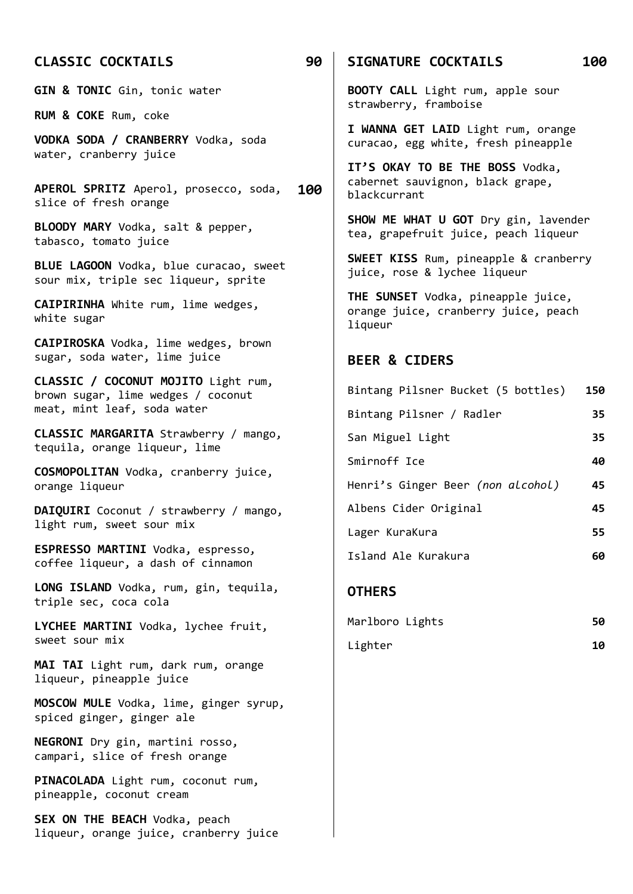**GIN & TONIC** Gin, tonic water

**RUM & COKE** Rum, coke

**VODKA SODA / CRANBERRY** Vodka, soda water, cranberry juice

**APEROL SPRITZ** Aperol, prosecco, soda, slice of fresh orange **100**

**BLOODY MARY** Vodka, salt & pepper, tabasco, tomato juice

**BLUE LAGOON** Vodka, blue curacao, sweet sour mix, triple sec liqueur, sprite

**CAIPIRINHA** White rum, lime wedges, white sugar

**CAIPIROSKA** Vodka, lime wedges, brown sugar, soda water, lime juice

**CLASSIC / COCONUT MOJITO** Light rum, brown sugar, lime wedges / coconut meat, mint leaf, soda water

**CLASSIC MARGARITA** Strawberry / mango, tequila, orange liqueur, lime

**COSMOPOLITAN** Vodka, cranberry juice, orange liqueur

**DAIQUIRI** Coconut / strawberry / mango, light rum, sweet sour mix

**ESPRESSO MARTINI** Vodka, espresso, coffee liqueur, a dash of cinnamon

**LONG ISLAND** Vodka, rum, gin, tequila, triple sec, coca cola

**LYCHEE MARTINI** Vodka, lychee fruit, sweet sour mix

**MAI TAI** Light rum, dark rum, orange liqueur, pineapple juice

**MOSCOW MULE** Vodka, lime, ginger syrup, spiced ginger, ginger ale

**NEGRONI** Dry gin, martini rosso, campari, slice of fresh orange

**PINACOLADA** Light rum, coconut rum, pineapple, coconut cream

**SEX ON THE BEACH Vodka, peach** liqueur, orange juice, cranberry juice

## **CLASSIC COCKTAILS 90 SIGNATURE COCKTAILS 100**

**BOOTY CALL** Light rum, apple sour strawberry, framboise

**I WANNA GET LAID** Light rum, orange curacao, egg white, fresh pineapple

**IT'S OKAY TO BE THE BOSS** Vodka, cabernet sauvignon, black grape, blackcurrant

**SHOW ME WHAT U GOT** Dry gin, lavender tea, grapefruit juice, peach liqueur

**SWEET KISS** Rum, pineapple & cranberry juice, rose & lychee liqueur

**THE SUNSET** Vodka, pineapple juice, orange juice, cranberry juice, peach liqueur

## **BEER & CIDERS**

| Bintang Pilsner Bucket (5 bottles) 150 |    |
|----------------------------------------|----|
| Bintang Pilsner / Radler               | 35 |
| San Miguel Light                       | 35 |
| Smirnoff Ice                           | 40 |
| Henri's Ginger Beer (non alcohol)      | 45 |
| Albens Cider Original                  | 45 |
| Lager KuraKura                         | 55 |
| Island Ale Kurakura                    | 60 |
|                                        |    |

## **OTHERS**

| Marlboro Lights | 50 |
|-----------------|----|
| Lighter         | 10 |